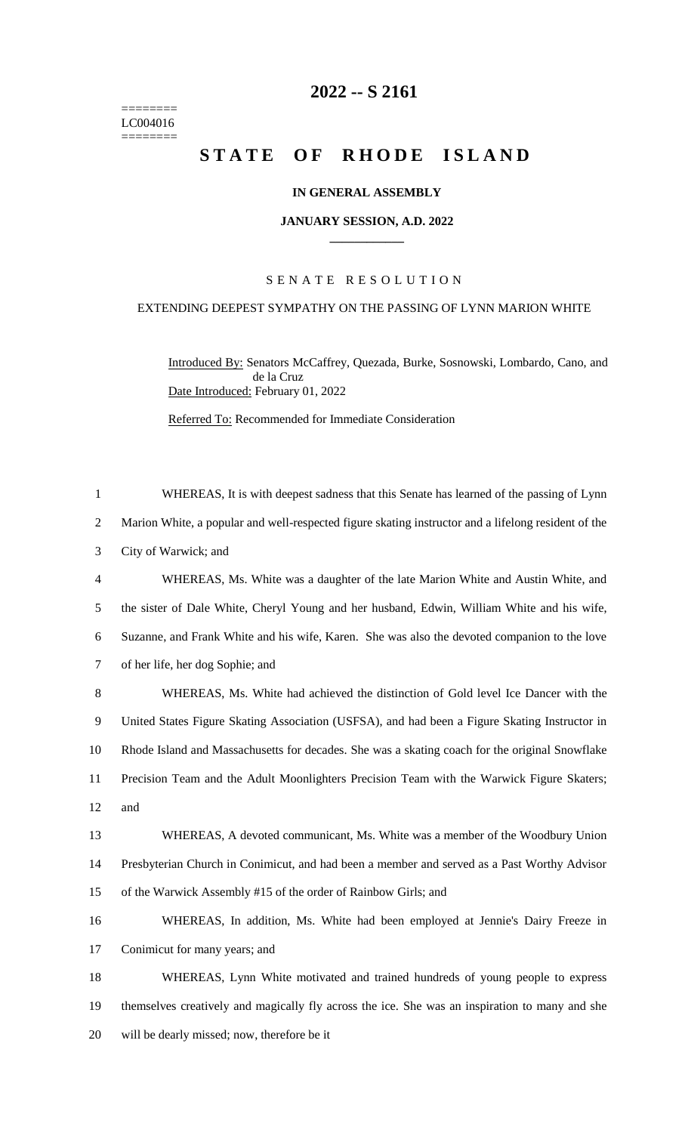======== LC004016 ========

## **-- S 2161**

# **STATE OF RHODE ISLAND**

## **IN GENERAL ASSEMBLY**

#### **JANUARY SESSION, A.D. 2022 \_\_\_\_\_\_\_\_\_\_\_\_**

## S E N A T E R E S O L U T I O N

## EXTENDING DEEPEST SYMPATHY ON THE PASSING OF LYNN MARION WHITE

Introduced By: Senators McCaffrey, Quezada, Burke, Sosnowski, Lombardo, Cano, and de la Cruz Date Introduced: February 01, 2022

Referred To: Recommended for Immediate Consideration

 WHEREAS, It is with deepest sadness that this Senate has learned of the passing of Lynn Marion White, a popular and well-respected figure skating instructor and a lifelong resident of the City of Warwick; and WHEREAS, Ms. White was a daughter of the late Marion White and Austin White, and the sister of Dale White, Cheryl Young and her husband, Edwin, William White and his wife, Suzanne, and Frank White and his wife, Karen. She was also the devoted companion to the love of her life, her dog Sophie; and WHEREAS, Ms. White had achieved the distinction of Gold level Ice Dancer with the United States Figure Skating Association (USFSA), and had been a Figure Skating Instructor in Rhode Island and Massachusetts for decades. She was a skating coach for the original Snowflake Precision Team and the Adult Moonlighters Precision Team with the Warwick Figure Skaters; and WHEREAS, A devoted communicant, Ms. White was a member of the Woodbury Union Presbyterian Church in Conimicut, and had been a member and served as a Past Worthy Advisor of the Warwick Assembly #15 of the order of Rainbow Girls; and WHEREAS, In addition, Ms. White had been employed at Jennie's Dairy Freeze in Conimicut for many years; and WHEREAS, Lynn White motivated and trained hundreds of young people to express themselves creatively and magically fly across the ice. She was an inspiration to many and she will be dearly missed; now, therefore be it